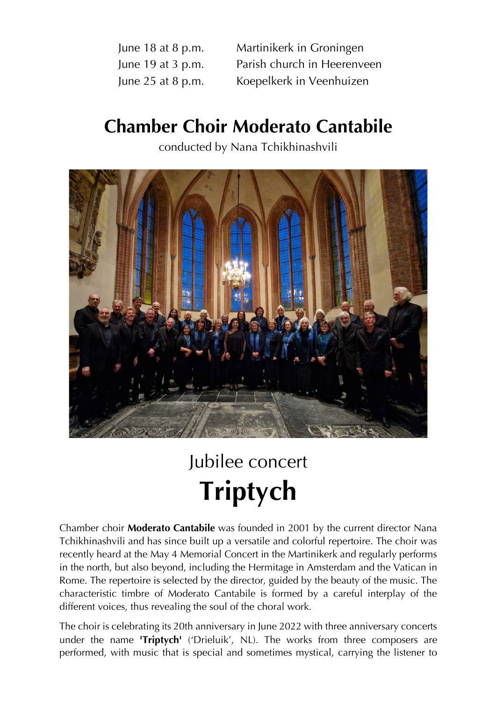June 18 at 8 p.m. Martinikerk in Groningen June 19 at 3 p.m. Parish church in Heerenveen June 25 at 8 p.m. Koepelkerk in Veenhuizen

# **Chamber Choir Moderato Cantabile**

conducted by Nana Tchikhinashvili



# Jubilee concert **Triptych**

Chamber choir **Moderato Cantabile** was founded in 2001 by the current director Nana Tchikhinashvili and has since built up a versatile and colorful repertoire. The choir was recently heard at the May 4 Memorial Concert in the Martinikerk and regularly performs in the north, but also beyond, including the Hermitage in Amsterdam and the Vatican in Rome. The repertoire is selected by the director, guided by the beauty of the music. The characteristic timbre of Moderato Cantabile is formed by a careful interplay of the different voices, thus revealing the soul of the choral work.

The choir is celebrating its 20th anniversary in June 2022 with three anniversary concerts under the name **'Triptych'** ('Drieluik', NL). The works from three composers are performed, with music that is special and sometimes mystical, carrying the listener to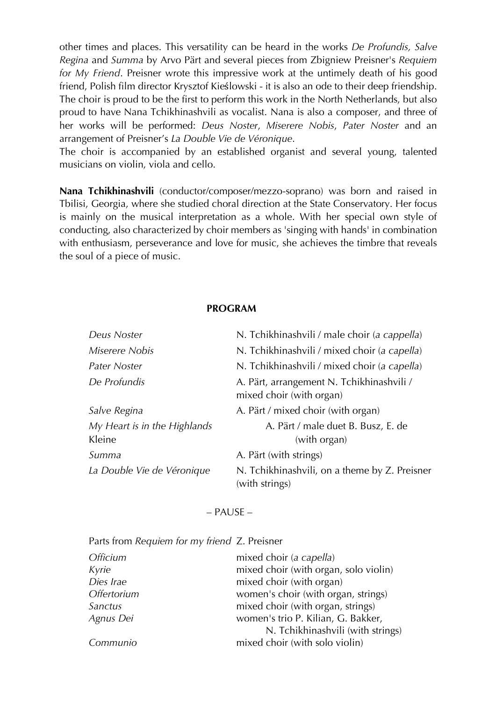other times and places. This versatility can be heard in the works *De Profundis, Salve Regina* and *Summa* by Arvo Pärt and several pieces from Zbigniew Preisner's *Requiem for My Friend*. Preisner wrote this impressive work at the untimely death of his good friend, Polish film director Krysztof Kieślowski - it is also an ode to their deep friendship. The choir is proud to be the first to perform this work in the North Netherlands, but also proud to have Nana Tchikhinashvili as vocalist. Nana is also a composer, and three of her works will be performed: *Deus Noster*, *Miserere Nobis*, *Pater Noster* and an arrangement of Preisner's *La Double Vie de Véronique*.

The choir is accompanied by an established organist and several young, talented musicians on violin, viola and cello.

**Nana Tchikhinashvili** (conductor/composer/mezzo-soprano) was born and raised in Tbilisi, Georgia, where she studied choral direction at the State Conservatory. Her focus is mainly on the musical interpretation as a whole. With her special own style of conducting, also characterized by choir members as 'singing with hands' in combination with enthusiasm, perseverance and love for music, she achieves the timbre that reveals the soul of a piece of music.

#### **PROGRAM**

| Deus Noster                  | N. Tchikhinashvili / male choir (a cappella)                          |
|------------------------------|-----------------------------------------------------------------------|
| Miserere Nobis               | N. Tchikhinashvili / mixed choir (a capella)                          |
| Pater Noster                 | N. Tchikhinashvili / mixed choir (a capella)                          |
| De Profundis                 | A. Pärt, arrangement N. Tchikhinashvili /<br>mixed choir (with organ) |
| Salve Regina                 | A. Pärt / mixed choir (with organ)                                    |
| My Heart is in the Highlands | A. Pärt / male duet B. Busz, E. de                                    |
| Kleine                       | (with organ)                                                          |
| Summa                        | A. Pärt (with strings)                                                |
| La Double Vie de Véronique   | N. Tchikhinashvili, on a theme by Z. Preisner<br>(with strings)       |

#### – PAUSE –

#### Parts from *Requiem for my friend* Z. Preisner

| <i><b>Officium</b></i> | mixed choir (a capella)               |
|------------------------|---------------------------------------|
| Kyrie                  | mixed choir (with organ, solo violin) |
| Dies Irae              | mixed choir (with organ)              |
| Offertorium            | women's choir (with organ, strings)   |
| Sanctus                | mixed choir (with organ, strings)     |
| Agnus Dei              | women's trio P. Kilian, G. Bakker,    |
|                        | N. Tchikhinashvili (with strings)     |
| Communio               | mixed choir (with solo violin)        |